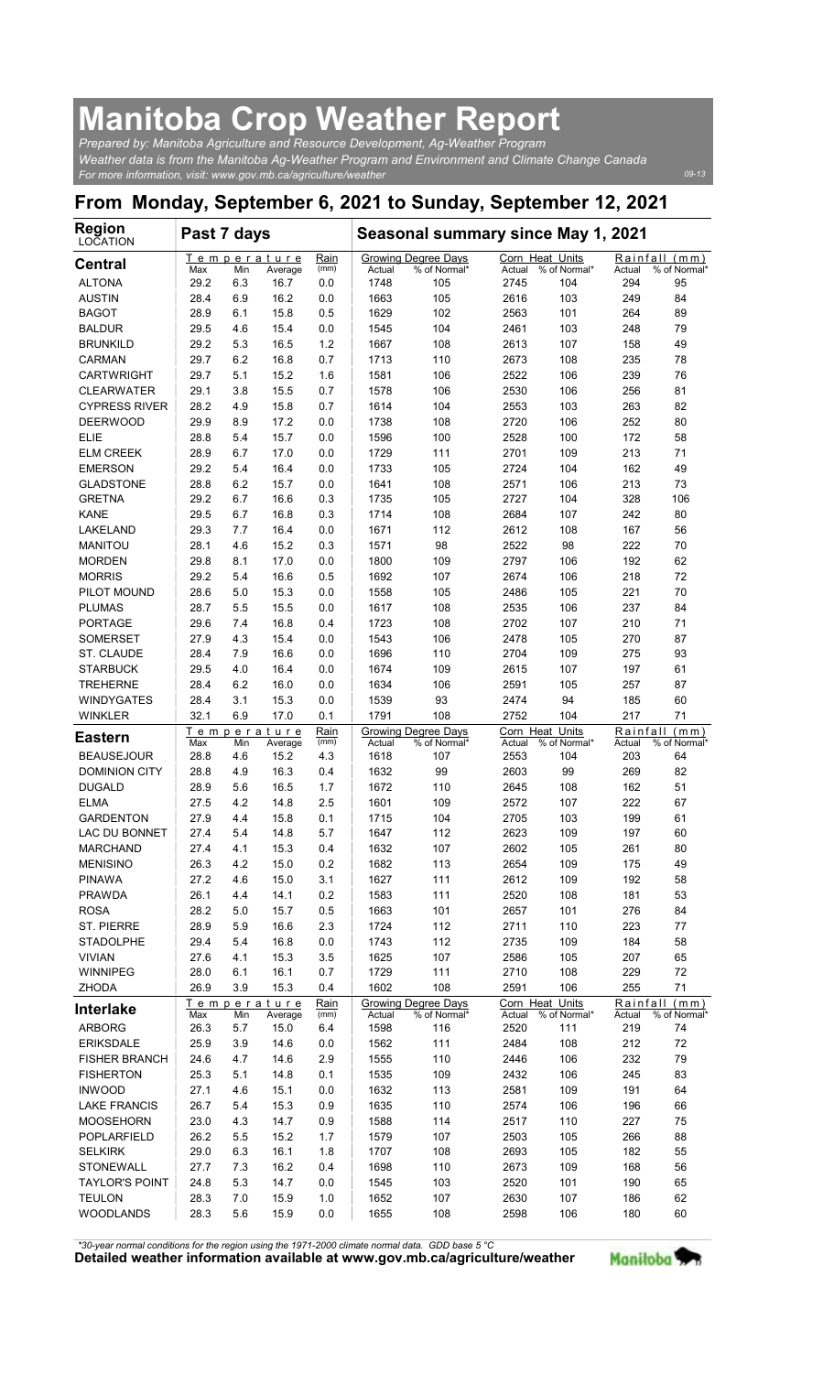## Manitoba Crop Weather Report

| <b>Manitoba Crop Weather Report</b><br>Prepared by: Manitoba Agriculture and Resource Development, Ag-Weather Program                                            |              |            |                        |              |                |                                     |                           |                     |                    |                                  |
|------------------------------------------------------------------------------------------------------------------------------------------------------------------|--------------|------------|------------------------|--------------|----------------|-------------------------------------|---------------------------|---------------------|--------------------|----------------------------------|
| Weather data is from the Manitoba Aq-Weather Program and Environment and Climate Change Canada<br>For more information, visit: www.gov.mb.ca/agriculture/weather |              |            |                        |              |                |                                     |                           |                     |                    | 09-13                            |
| From Monday, September 6, 2021 to Sunday, September 12, 2021                                                                                                     |              |            |                        |              |                |                                     |                           |                     |                    |                                  |
| <b>Region</b>                                                                                                                                                    | Past 7 days  |            |                        |              |                | Seasonal summary since May 1, 2021  |                           |                     |                    |                                  |
| LOCATION<br><b>Central</b>                                                                                                                                       |              |            | Temperature            | Rain         |                | Growing Degree Days                 | Corn Heat Units           |                     |                    | Rainfall (mm)                    |
| <b>ALTONA</b>                                                                                                                                                    | Max<br>29.2  | Min<br>6.3 | Average<br>16.7        | (mm)<br>0.0  | Actual<br>1748 | % of Normal*<br>105                 | Actual<br>2745            | % of Normal*<br>104 | Actual<br>294      | % of Normal<br>95                |
| <b>AUSTIN</b><br><b>BAGOT</b>                                                                                                                                    | 28.4<br>28.9 | 6.9<br>6.1 | 16.2<br>15.8           | 0.0<br>0.5   | 1663<br>1629   | 105<br>102                          | 2616<br>2563              | 103<br>101          | 249<br>264         | 84<br>89                         |
| <b>BALDUR</b>                                                                                                                                                    | 29.5         | 4.6        | 15.4                   | 0.0          | 1545           | 104                                 | 2461                      | 103                 | 248                | 79                               |
| <b>BRUNKILD</b><br>CARMAN                                                                                                                                        | 29.2<br>29.7 | 5.3<br>6.2 | 16.5<br>16.8           | $1.2$<br>0.7 | 1667<br>1713   | 108<br>110                          | 2613<br>2673              | 107<br>108          | 158<br>235         | 49<br>78                         |
| <b>CARTWRIGHT</b><br><b>CLEARWATER</b>                                                                                                                           | 29.7<br>29.1 | 5.1<br>3.8 | 15.2<br>15.5           | 1.6<br>0.7   | 1581<br>1578   | 106<br>106                          | 2522<br>2530              | 106<br>106          | 239<br>256         | 76<br>81                         |
| <b>CYPRESS RIVER</b>                                                                                                                                             | 28.2         | 4.9        | 15.8                   | 0.7          | 1614           | 104                                 | 2553                      | 103                 | 263                | 82                               |
| <b>DEERWOOD</b><br><b>ELIE</b>                                                                                                                                   | 29.9<br>28.8 | 8.9<br>5.4 | 17.2<br>15.7           | 0.0<br>0.0   | 1738<br>1596   | 108<br>100                          | 2720<br>2528              | 106<br>100          | 252<br>172         | 80<br>58                         |
| <b>ELM CREEK</b>                                                                                                                                                 | 28.9         | 6.7        | 17.0                   | 0.0          | 1729           | 111                                 | 2701                      | 109                 | 213                | 71                               |
| <b>EMERSON</b><br><b>GLADSTONE</b>                                                                                                                               | 29.2<br>28.8 | 5.4<br>6.2 | 16.4<br>15.7           | 0.0<br>0.0   | 1733<br>1641   | 105<br>108                          | 2724<br>2571              | 104<br>106          | 162<br>213         | 49<br>73                         |
| <b>GRETNA</b>                                                                                                                                                    | 29.2         | 6.7        | 16.6                   | 0.3          | 1735           | 105                                 | 2727                      | 104                 | 328                | 106                              |
| <b>KANE</b><br>LAKELAND                                                                                                                                          | 29.5<br>29.3 | 6.7<br>7.7 | 16.8<br>16.4           | 0.3<br>0.0   | 1714<br>1671   | 108<br>112                          | 2684<br>2612              | 107<br>108          | 242<br>167         | 80<br>56                         |
| <b>MANITOU</b>                                                                                                                                                   | 28.1         | 4.6        | 15.2                   | 0.3          | 1571           | 98                                  | 2522                      | 98                  | 222                | 70                               |
| <b>MORDEN</b><br><b>MORRIS</b>                                                                                                                                   | 29.8<br>29.2 | 8.1<br>5.4 | 17.0<br>16.6           | 0.0<br>0.5   | 1800<br>1692   | 109<br>107                          | 2797<br>2674              | 106<br>106          | 192<br>218         | 62<br>72                         |
| PILOT MOUND                                                                                                                                                      | 28.6         | 5.0        | 15.3                   | 0.0          | 1558           | 105                                 | 2486                      | 105                 | 221                | 70                               |
| <b>PLUMAS</b><br><b>PORTAGE</b>                                                                                                                                  | 28.7<br>29.6 | 5.5<br>7.4 | 15.5<br>16.8           | 0.0<br>0.4   | 1617<br>1723   | 108<br>108                          | 2535<br>2702              | 106<br>107          | 237<br>210         | 84<br>71                         |
| <b>SOMERSET</b><br>ST. CLAUDE                                                                                                                                    | 27.9<br>28.4 | 4.3<br>7.9 | 15.4<br>16.6           | 0.0<br>0.0   | 1543<br>1696   | 106<br>110                          | 2478<br>2704              | 105<br>109          | 270<br>275         | 87<br>93                         |
| <b>STARBUCK</b>                                                                                                                                                  | 29.5         | 4.0        | 16.4                   | 0.0          | 1674           | 109                                 | 2615                      | 107                 | 197                | 61                               |
| <b>TREHERNE</b><br><b>WINDYGATES</b>                                                                                                                             | 28.4<br>28.4 | 6.2<br>3.1 | 16.0<br>15.3           | 0.0<br>0.0   | 1634<br>1539   | 106<br>93                           | 2591<br>2474              | 105<br>94           | 257<br>185         | 87<br>60                         |
| <b>WINKLER</b>                                                                                                                                                   | 32.1         | 6.9        | 17.0                   | 0.1          | 1791           | 108                                 | 2752                      | 104                 | 217                | 71                               |
| <b>Eastern</b>                                                                                                                                                   | Max          | Min        | Temperature<br>Average | Rain<br>(mm) | Actual         | Growing Degree Days<br>% of Normal* | Corn Heat Units<br>Actual | % of Normal*        | Rainfall<br>Actual | (m <sub>m</sub> )<br>% of Normal |
| <b>BEAUSEJOUR</b><br><b>DOMINION CITY</b>                                                                                                                        | 28.8<br>28.8 | 4.6<br>4.9 | 15.2<br>16.3           | 4.3<br>0.4   | 1618<br>1632   | 107<br>99                           | 2553<br>2603              | 104<br>99           | 203<br>269         | 64<br>82                         |
| <b>DUGALD</b>                                                                                                                                                    | 28.9         | 5.6        | 16.5                   | 1.7          | 1672           | 110                                 | 2645                      | 108                 | 162                | 51                               |
| <b>ELMA</b><br><b>GARDENTON</b>                                                                                                                                  | 27.5<br>27.9 | 4.2<br>4.4 | 14.8<br>15.8           | 2.5<br>0.1   | 1601<br>1715   | 109<br>104                          | 2572<br>2705              | 107<br>103          | 222<br>199         | 67<br>61                         |
| LAC DU BONNET                                                                                                                                                    | 27.4         | 5.4        | 14.8                   | 5.7          | 1647           | 112                                 | 2623                      | 109                 | 197                | 60                               |
| <b>MARCHAND</b><br><b>MENISINO</b>                                                                                                                               | 27.4<br>26.3 | 4.1<br>4.2 | 15.3<br>15.0           | 0.4<br>0.2   | 1632<br>1682   | 107<br>113                          | 2602<br>2654              | 105<br>109          | 261<br>175         | 80<br>49                         |
| <b>PINAWA</b>                                                                                                                                                    | 27.2         | 4.6        | 15.0                   | 3.1          | 1627           | 111                                 | 2612                      | 109                 | 192                | 58                               |
| <b>PRAWDA</b><br><b>ROSA</b>                                                                                                                                     | 26.1<br>28.2 | 4.4<br>5.0 | 14.1<br>15.7           | 0.2<br>0.5   | 1583<br>1663   | 111<br>101                          | 2520<br>2657              | 108<br>101          | 181<br>276         | 53<br>84                         |
| <b>ST. PIERRE</b><br><b>STADOLPHE</b>                                                                                                                            | 28.9<br>29.4 | 5.9<br>5.4 | 16.6<br>16.8           | 2.3<br>0.0   | 1724<br>1743   | 112<br>112                          | 2711<br>2735              | 110<br>109          | 223<br>184         | 77<br>58                         |
| <b>VIVIAN</b>                                                                                                                                                    | 27.6         | 4.1        | 15.3                   | 3.5          | 1625           | 107                                 | 2586                      | 105                 | 207                | 65                               |
| WINNIPEG<br><b>ZHODA</b>                                                                                                                                         | 28.0<br>26.9 | 6.1<br>3.9 | 16.1<br>15.3           | 0.7<br>0.4   | 1729<br>1602   | 111<br>108                          | 2710<br>2591              | 108<br>106          | 229<br>255         | 72<br>71                         |
| <b>Interlake</b>                                                                                                                                                 | Max          | Min        | Temperature<br>Average | Rain<br>(mm) | Actual         | Growing Degree Days<br>% of Normal* | Corn Heat Units<br>Actual | % of Normal*        | Actual             | Rainfall (mm)<br>% of Normal*    |
| <b>ARBORG</b>                                                                                                                                                    | 26.3         | 5.7        | 15.0                   | 6.4          | 1598           | 116                                 | 2520                      | 111                 | 219                | 74                               |
| <b>ERIKSDALE</b><br><b>FISHER BRANCH</b>                                                                                                                         | 25.9<br>24.6 | 3.9<br>4.7 | 14.6<br>14.6           | 0.0<br>2.9   | 1562<br>1555   | 111<br>110                          | 2484<br>2446              | 108<br>106          | 212<br>232         | 72<br>79                         |
| <b>FISHERTON</b>                                                                                                                                                 | 25.3         | 5.1        | 14.8                   | 0.1          | 1535           | 109                                 | 2432                      | 106                 | 245                | 83                               |
| <b>INWOOD</b><br><b>LAKE FRANCIS</b>                                                                                                                             | 27.1<br>26.7 | 4.6<br>5.4 | 15.1<br>15.3           | 0.0<br>0.9   | 1632<br>1635   | 113<br>110                          | 2581<br>2574              | 109<br>106          | 191<br>196         | 64<br>66                         |
| <b>MOOSEHORN</b>                                                                                                                                                 | 23.0         | 4.3        | 14.7                   | 0.9          | 1588           | 114                                 | 2517                      | 110                 | 227                | 75                               |
| POPLARFIELD<br><b>SELKIRK</b>                                                                                                                                    | 26.2<br>29.0 | 5.5<br>6.3 | 15.2<br>16.1           | 1.7<br>1.8   | 1579<br>1707   | 107<br>108                          | 2503<br>2693              | 105<br>105          | 266<br>182         | 88<br>55                         |
| STONEWALL                                                                                                                                                        | 27.7         | 7.3        | 16.2                   | 0.4          | 1698           | 110                                 | 2673                      | 109                 | 168                | 56                               |
| <b>TAYLOR'S POINT</b><br><b>TEULON</b>                                                                                                                           | 24.8<br>28.3 | 5.3<br>7.0 | 14.7<br>15.9           | 0.0<br>1.0   | 1545<br>1652   | 103<br>107                          | 2520<br>2630              | 101<br>107          | 190<br>186         | 65<br>62                         |
| <b>WOODLANDS</b>                                                                                                                                                 | 28.3         | 5.6        | 15.9                   | 0.0          | 1655           | 108                                 | 2598                      | 106                 | 180                | 60                               |

Detailed weather information available at www.gov.mb.ca/agriculture/weather Manitoba \*30-year normal conditions for the region using the 1971-2000 climate normal data. GDD base 5 °C